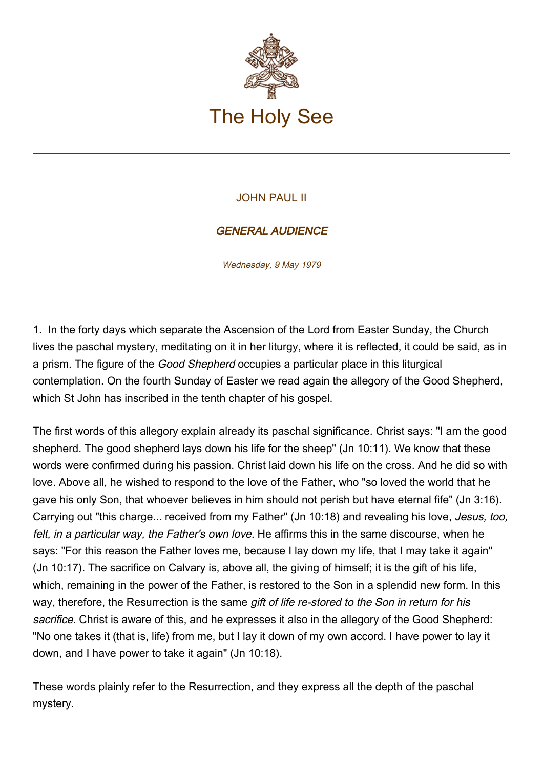

## JOHN PAUL II

## GENERAL AUDIENCE

Wednesday, 9 May 1979

1. In the forty days which separate the Ascension of the Lord from Easter Sunday, the Church lives the paschal mystery, meditating on it in her liturgy, where it is reflected, it could be said, as in a prism. The figure of the Good Shepherd occupies a particular place in this liturgical contemplation. On the fourth Sunday of Easter we read again the allegory of the Good Shepherd, which St John has inscribed in the tenth chapter of his gospel.

The first words of this allegory explain already its paschal significance. Christ says: "I am the good shepherd. The good shepherd lays down his life for the sheep" (Jn 10:11). We know that these words were confirmed during his passion. Christ laid down his life on the cross. And he did so with love. Above all, he wished to respond to the love of the Father, who "so loved the world that he gave his only Son, that whoever believes in him should not perish but have eternal fife" (Jn 3:16). Carrying out "this charge... received from my Father" (Jn 10:18) and revealing his love, Jesus, too, felt, in a particular way, the Father's own love. He affirms this in the same discourse, when he says: "For this reason the Father loves me, because I lay down my life, that I may take it again" (Jn 10:17). The sacrifice on Calvary is, above all, the giving of himself; it is the gift of his life, which, remaining in the power of the Father, is restored to the Son in a splendid new form. In this way, therefore, the Resurrection is the same gift of life re-stored to the Son in return for his sacrifice. Christ is aware of this, and he expresses it also in the allegory of the Good Shepherd: "No one takes it (that is, life) from me, but I lay it down of my own accord. I have power to lay it down, and I have power to take it again" (Jn 10:18).

These words plainly refer to the Resurrection, and they express all the depth of the paschal mystery.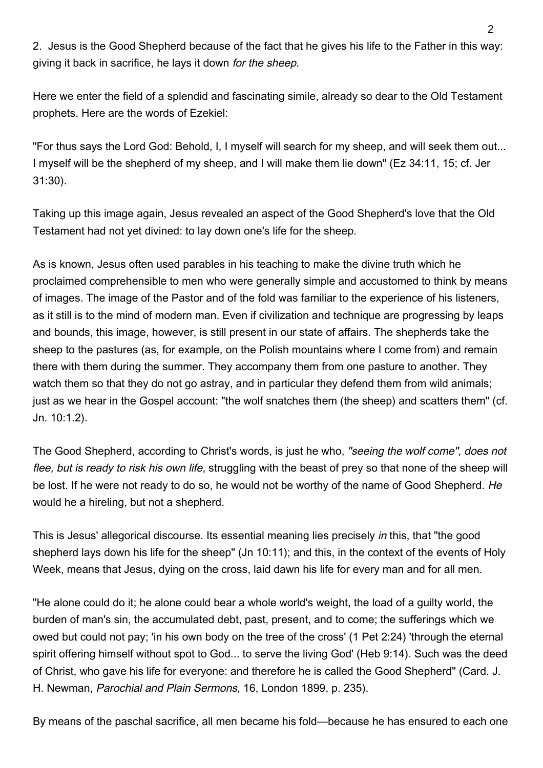2. Jesus is the Good Shepherd because of the fact that he gives his life to the Father in this way: giving it back in sacrifice, he lays it down for the sheep.

Here we enter the field of a splendid and fascinating simile, already so dear to the Old Testament prophets. Here are the words of Ezekiel:

"For thus says the Lord God: Behold, I, I myself will search for my sheep, and will seek them out... I myself will be the shepherd of my sheep, and I will make them lie down" (Ez 34:11, 15; cf. Jer 31:30).

Taking up this image again, Jesus revealed an aspect of the Good Shepherd's love that the Old Testament had not yet divined: to lay down one's life for the sheep.

As is known, Jesus often used parables in his teaching to make the divine truth which he proclaimed comprehensible to men who were generally simple and accustomed to think by means of images. The image of the Pastor and of the fold was familiar to the experience of his listeners, as it still is to the mind of modern man. Even if civilization and technique are progressing by leaps and bounds, this image, however, is still present in our state of affairs. The shepherds take the sheep to the pastures (as, for example, on the Polish mountains where I come from) and remain there with them during the summer. They accompany them from one pasture to another. They watch them so that they do not go astray, and in particular they defend them from wild animals; just as we hear in the Gospel account: "the wolf snatches them (the sheep) and scatters them" (cf. Jn. 10:1.2).

The Good Shepherd, according to Christ's words, is just he who, "seeing the wolf come", does not flee, but is ready to risk his own life, struggling with the beast of prey so that none of the sheep will be lost. If he were not ready to do so, he would not be worthy of the name of Good Shepherd. He would he a hireling, but not a shepherd.

This is Jesus' allegorical discourse. Its essential meaning lies precisely in this, that "the good shepherd lays down his life for the sheep" (Jn 10:11); and this, in the context of the events of Holy Week, means that Jesus, dying on the cross, laid dawn his life for every man and for all men.

"He alone could do it; he alone could bear a whole world's weight, the load of a guilty world, the burden of man's sin, the accumulated debt, past, present, and to come; the sufferings which we owed but could not pay; 'in his own body on the tree of the cross' (1 Pet 2:24) 'through the eternal spirit offering himself without spot to God... to serve the living God' (Heb 9:14). Such was the deed of Christ, who gave his life for everyone: and therefore he is called the Good Shepherd" (Card. J. H. Newman, Parochial and Plain Sermons, 16, London 1899, p. 235).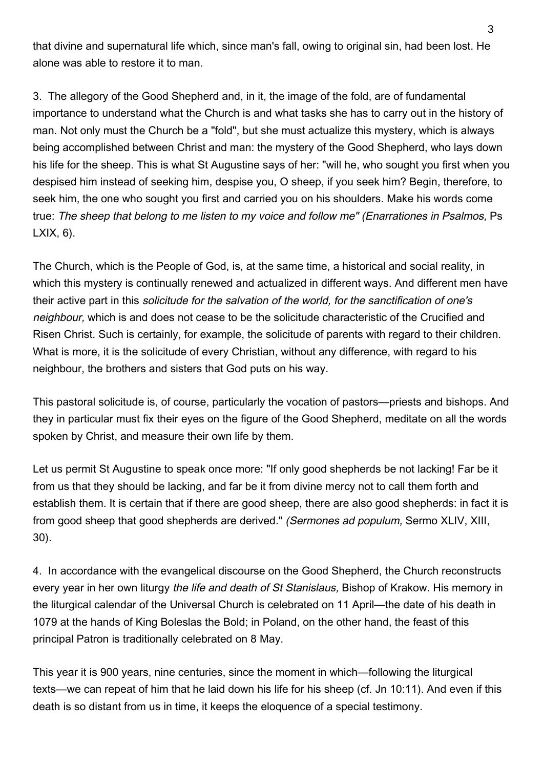that divine and supernatural life which, since man's fall, owing to original sin, had been lost. He alone was able to restore it to man.

3. The allegory of the Good Shepherd and, in it, the image of the fold, are of fundamental importance to understand what the Church is and what tasks she has to carry out in the history of man. Not only must the Church be a "fold", but she must actualize this mystery, which is always being accomplished between Christ and man: the mystery of the Good Shepherd, who lays down his life for the sheep. This is what St Augustine says of her: "will he, who sought you first when you despised him instead of seeking him, despise you, O sheep, if you seek him? Begin, therefore, to seek him, the one who sought you first and carried you on his shoulders. Make his words come true: The sheep that belong to me listen to my voice and follow me" (Enarrationes in Psalmos, Ps LXIX, 6).

The Church, which is the People of God, is, at the same time, a historical and social reality, in which this mystery is continually renewed and actualized in different ways. And different men have their active part in this solicitude for the salvation of the world, for the sanctification of one's neighbour, which is and does not cease to be the solicitude characteristic of the Crucified and Risen Christ. Such is certainly, for example, the solicitude of parents with regard to their children. What is more, it is the solicitude of every Christian, without any difference, with regard to his neighbour, the brothers and sisters that God puts on his way.

This pastoral solicitude is, of course, particularly the vocation of pastors—priests and bishops. And they in particular must fix their eyes on the figure of the Good Shepherd, meditate on all the words spoken by Christ, and measure their own life by them.

Let us permit St Augustine to speak once more: "If only good shepherds be not lacking! Far be it from us that they should be lacking, and far be it from divine mercy not to call them forth and establish them. It is certain that if there are good sheep, there are also good shepherds: in fact it is from good sheep that good shepherds are derived." (Sermones ad populum, Sermo XLIV, XIII, 30).

4. In accordance with the evangelical discourse on the Good Shepherd, the Church reconstructs every year in her own liturgy the life and death of St Stanislaus, Bishop of Krakow. His memory in the liturgical calendar of the Universal Church is celebrated on 11 April—the date of his death in 1079 at the hands of King Boleslas the Bold; in Poland, on the other hand, the feast of this principal Patron is traditionally celebrated on 8 May.

This year it is 900 years, nine centuries, since the moment in which—following the liturgical texts—we can repeat of him that he laid down his life for his sheep (cf. Jn 10:11). And even if this death is so distant from us in time, it keeps the eloquence of a special testimony.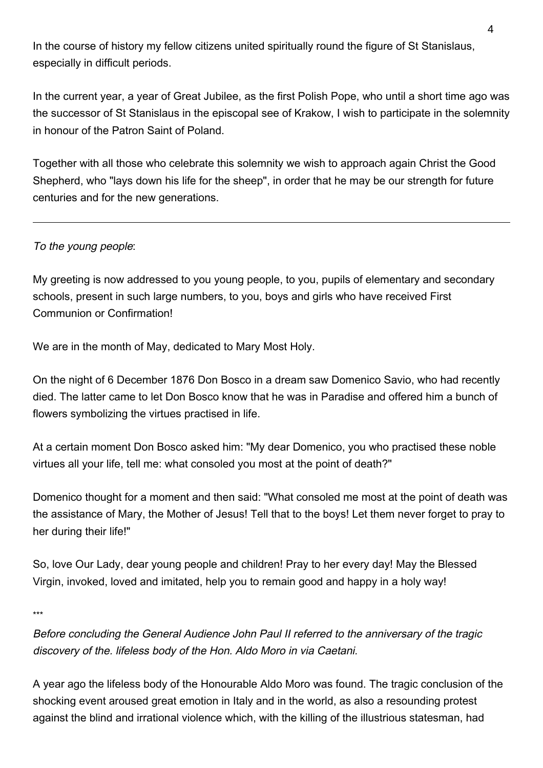In the course of history my fellow citizens united spiritually round the figure of St Stanislaus, especially in difficult periods.

In the current year, a year of Great Jubilee, as the first Polish Pope, who until a short time ago was the successor of St Stanislaus in the episcopal see of Krakow, I wish to participate in the solemnity in honour of the Patron Saint of Poland.

Together with all those who celebrate this solemnity we wish to approach again Christ the Good Shepherd, who "lays down his life for the sheep", in order that he may be our strength for future centuries and for the new generations.

## To the young people:

My greeting is now addressed to you young people, to you, pupils of elementary and secondary schools, present in such large numbers, to you, boys and girls who have received First Communion or Confirmation!

We are in the month of May, dedicated to Mary Most Holy.

On the night of 6 December 1876 Don Bosco in a dream saw Domenico Savio, who had recently died. The latter came to let Don Bosco know that he was in Paradise and offered him a bunch of flowers symbolizing the virtues practised in life.

At a certain moment Don Bosco asked him: "My dear Domenico, you who practised these noble virtues all your life, tell me: what consoled you most at the point of death?"

Domenico thought for a moment and then said: "What consoled me most at the point of death was the assistance of Mary, the Mother of Jesus! Tell that to the boys! Let them never forget to pray to her during their life!"

So, love Our Lady, dear young people and children! Pray to her every day! May the Blessed Virgin, invoked, loved and imitated, help you to remain good and happy in a holy way!

\*\*\*

Before concluding the General Audience John Paul II referred to the anniversary of the tragic discovery of the. lifeless body of the Hon. Aldo Moro in via Caetani.

A year ago the lifeless body of the Honourable Aldo Moro was found. The tragic conclusion of the shocking event aroused great emotion in Italy and in the world, as also a resounding protest against the blind and irrational violence which, with the killing of the illustrious statesman, had